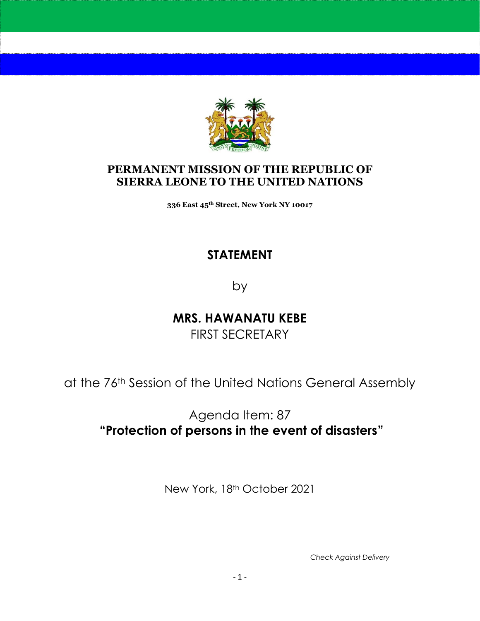

#### **PERMANENT MISSION OF THE REPUBLIC OF SIERRA LEONE TO THE UNITED NATIONS**

**336 East 45th Street, New York NY 10017**

# **STATEMENT**

by

## **MRS. HAWANATU KEBE**

FIRST SECRETARY

at the 76<sup>th</sup> Session of the United Nations General Assembly

## Agenda Item: 87 **"Protection of persons in the event of disasters"**

New York, 18<sup>th</sup> October 2021

*Check Against Delivery*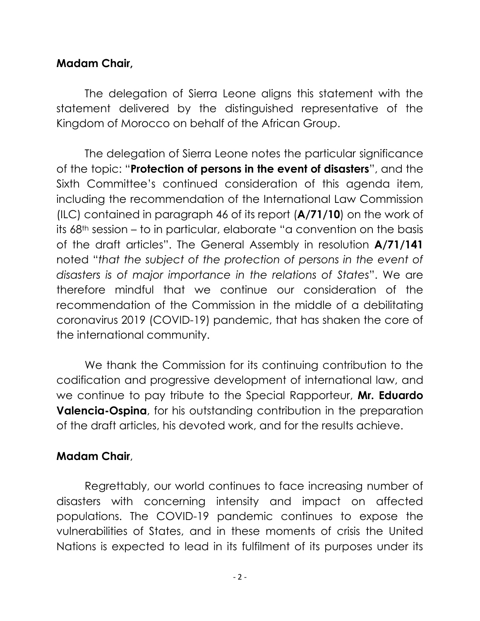### **Madam Chair,**

The delegation of Sierra Leone aligns this statement with the statement delivered by the distinguished representative of the Kingdom of Morocco on behalf of the African Group.

The delegation of Sierra Leone notes the particular significance of the topic: "**Protection of persons in the event of disasters**", and the Sixth Committee's continued consideration of this agenda item, including the recommendation of the International Law Commission (ILC) contained in paragraph 46 of its report (**A/71/10**) on the work of its 68th session – to in particular, elaborate "a convention on the basis of the draft articles". The General Assembly in resolution **A/71/141** noted "*that the subject of the protection of persons in the event of disasters is of major importance in the relations of States*". We are therefore mindful that we continue our consideration of the recommendation of the Commission in the middle of a debilitating coronavirus 2019 (COVID-19) pandemic, that has shaken the core of the international community.

We thank the Commission for its continuing contribution to the codification and progressive development of international law, and we continue to pay tribute to the Special Rapporteur, **Mr. Eduardo Valencia-Ospina**, for his outstanding contribution in the preparation of the draft articles, his devoted work, and for the results achieve.

### **Madam Chair**,

Regrettably, our world continues to face increasing number of disasters with concerning intensity and impact on affected populations. The COVID-19 pandemic continues to expose the vulnerabilities of States, and in these moments of crisis the United Nations is expected to lead in its fulfilment of its purposes under its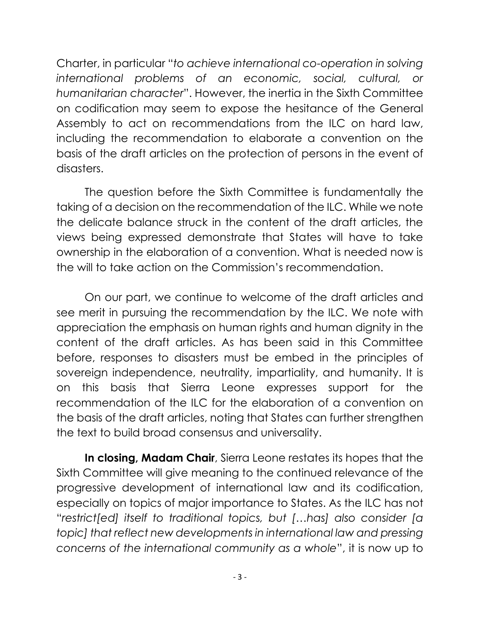Charter, in particular "*to achieve international co-operation in solving international problems of an economic, social, cultural, or humanitarian character*". However, the inertia in the Sixth Committee on codification may seem to expose the hesitance of the General Assembly to act on recommendations from the ILC on hard law, including the recommendation to elaborate a convention on the basis of the draft articles on the protection of persons in the event of disasters.

The question before the Sixth Committee is fundamentally the taking of a decision on the recommendation of the ILC. While we note the delicate balance struck in the content of the draft articles, the views being expressed demonstrate that States will have to take ownership in the elaboration of a convention. What is needed now is the will to take action on the Commission's recommendation.

On our part, we continue to welcome of the draft articles and see merit in pursuing the recommendation by the ILC. We note with appreciation the emphasis on human rights and human dignity in the content of the draft articles. As has been said in this Committee before, responses to disasters must be embed in the principles of sovereign independence, neutrality, impartiality, and humanity. It is on this basis that Sierra Leone expresses support for the recommendation of the ILC for the elaboration of a convention on the basis of the draft articles, noting that States can further strengthen the text to build broad consensus and universality.

**In closing, Madam Chair**, Sierra Leone restates its hopes that the Sixth Committee will give meaning to the continued relevance of the progressive development of international law and its codification, especially on topics of major importance to States. As the ILC has not "*restrict[ed] itself to traditional topics, but […has] also consider [a topic] that reflect new developments in international law and pressing concerns of the international community as a whole*", it is now up to